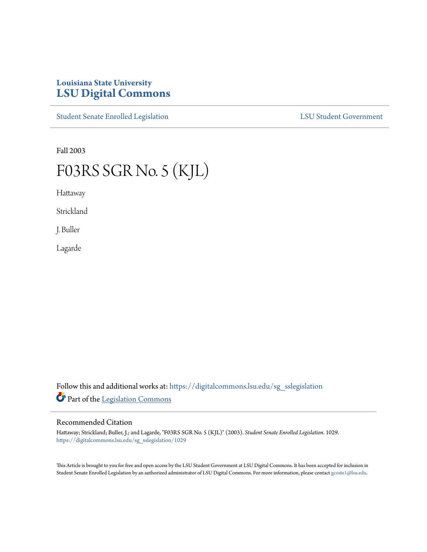# **Louisiana State University [LSU Digital Commons](https://digitalcommons.lsu.edu?utm_source=digitalcommons.lsu.edu%2Fsg_sslegislation%2F1029&utm_medium=PDF&utm_campaign=PDFCoverPages)**

[Student Senate Enrolled Legislation](https://digitalcommons.lsu.edu/sg_sslegislation?utm_source=digitalcommons.lsu.edu%2Fsg_sslegislation%2F1029&utm_medium=PDF&utm_campaign=PDFCoverPages) [LSU Student Government](https://digitalcommons.lsu.edu/sg?utm_source=digitalcommons.lsu.edu%2Fsg_sslegislation%2F1029&utm_medium=PDF&utm_campaign=PDFCoverPages)

Fall 2003

# F03RS SGR No. 5 (KJL)

Hattaway

Strickland

J. Buller

Lagarde

Follow this and additional works at: [https://digitalcommons.lsu.edu/sg\\_sslegislation](https://digitalcommons.lsu.edu/sg_sslegislation?utm_source=digitalcommons.lsu.edu%2Fsg_sslegislation%2F1029&utm_medium=PDF&utm_campaign=PDFCoverPages) Part of the [Legislation Commons](http://network.bepress.com/hgg/discipline/859?utm_source=digitalcommons.lsu.edu%2Fsg_sslegislation%2F1029&utm_medium=PDF&utm_campaign=PDFCoverPages)

## Recommended Citation

Hattaway; Strickland; Buller, J.; and Lagarde, "F03RS SGR No. 5 (KJL)" (2003). *Student Senate Enrolled Legislation*. 1029. [https://digitalcommons.lsu.edu/sg\\_sslegislation/1029](https://digitalcommons.lsu.edu/sg_sslegislation/1029?utm_source=digitalcommons.lsu.edu%2Fsg_sslegislation%2F1029&utm_medium=PDF&utm_campaign=PDFCoverPages)

This Article is brought to you for free and open access by the LSU Student Government at LSU Digital Commons. It has been accepted for inclusion in Student Senate Enrolled Legislation by an authorized administrator of LSU Digital Commons. For more information, please contact [gcoste1@lsu.edu.](mailto:gcoste1@lsu.edu)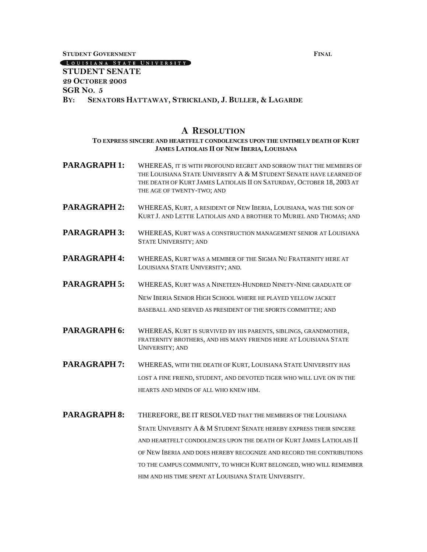**STUDENT GOVERNMENT FINAL**

## LOUISIANA STATE UNIVERSITY

## **STUDENT SENATE 29 OCTOBER 2003 SGR NO. 5 BY: SENATORS HATTAWAY, STRICKLAND, J. BULLER, & LAGARDE**

#### **A RESOLUTION**

### **TO EXPRESS SINCERE AND HEARTFELT CONDOLENCES UPON THE UNTIMELY DEATH OF KURT JAMES LATIOLAIS II OF NEW IBERIA, LOUISIANA**

- **PARAGRAPH 1:** WHEREAS, IT IS WITH PROFOUND REGRET AND SORROW THAT THE MEMBERS OF THE LOUISIANA STATE UNIVERSITY A & M STUDENT SENATE HAVE LEARNED OF THE DEATH OF KURT JAMES LATIOLAIS II ON SATURDAY, OCTOBER 18, 2003 AT THE AGE OF TWENTY-TWO; AND
- **PARAGRAPH 2:** WHEREAS, KURT, A RESIDENT OF NEW IBERIA, LOUISIANA, WAS THE SON OF KURT J. AND LETTIE LATIOLAIS AND A BROTHER TO MURIEL AND THOMAS; AND
- **PARAGRAPH 3:** WHEREAS, KURT WAS A CONSTRUCTION MANAGEMENT SENIOR AT LOUISIANA STATE UNIVERSITY; AND
- **PARAGRAPH 4:** WHEREAS, KURT WAS A MEMBER OF THE SIGMA NU FRATERNITY HERE AT LOUISIANA STATE UNIVERSITY; AND.
- **PARAGRAPH 5:** WHEREAS, KURT WAS A NINETEEN-HUNDRED NINETY-NINE GRADUATE OF NEW IBERIA SENIOR HIGH SCHOOL WHERE HE PLAYED YELLOW JACKET BASEBALL AND SERVED AS PRESIDENT OF THE SPORTS COMMITTEE; AND
- **PARAGRAPH 6:** WHEREAS, KURT IS SURVIVED BY HIS PARENTS, SIBLINGS, GRANDMOTHER, FRATERNITY BROTHERS, AND HIS MANY FRIENDS HERE AT LOUISIANA STATE UNIVERSITY; AND
- **PARAGRAPH 7:** WHEREAS, WITH THE DEATH OF KURT, LOUISIANA STATE UNIVERSITY HAS LOST A FINE FRIEND, STUDENT, AND DEVOTED TIGER WHO WILL LIVE ON IN THE HEARTS AND MINDS OF ALL WHO KNEW HIM.
- **PARAGRAPH 8:** THEREFORE, BE IT RESOLVED THAT THE MEMBERS OF THE LOUISIANA STATE UNIVERSITY A & M STUDENT SENATE HEREBY EXPRESS THEIR SINCERE AND HEARTFELT CONDOLENCES UPON THE DEATH OF KURT JAMES LATIOLAIS II OF NEW IBERIA AND DOES HEREBY RECOGNIZE AND RECORD THE CONTRIBUTIONS TO THE CAMPUS COMMUNITY, TO WHICH KURT BELONGED, WHO WILL REMEMBER HIM AND HIS TIME SPENT AT LOUISIANA STATE UNIVERSITY.